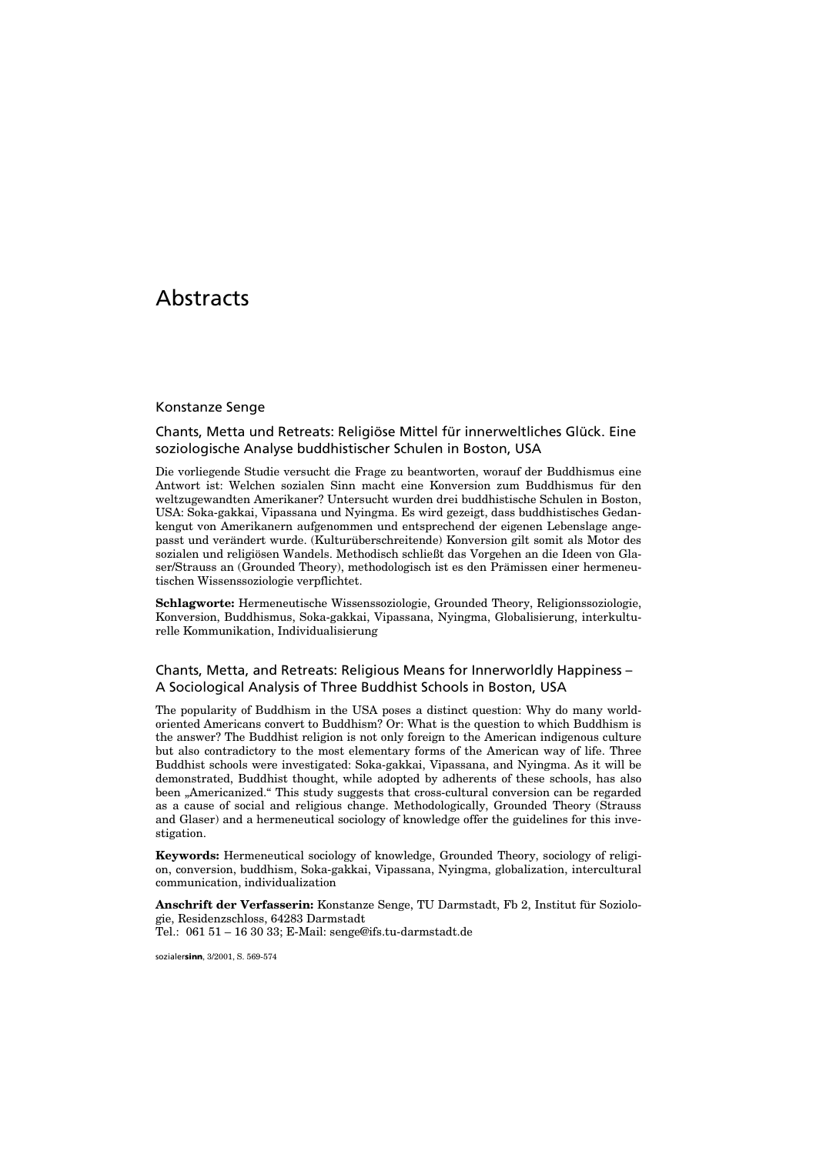# **Abstracts**

#### Konstanze Senge

## Chants, Metta und Retreats: Religiöse Mittel für innerweltliches Glück. Eine soziologische Analyse buddhistischer Schulen in Boston, USA

Die vorliegende Studie versucht die Frage zu beantworten, worauf der Buddhismus eine Antwort ist: Welchen sozialen Sinn macht eine Konversion zum Buddhismus für den weltzugewandten Amerikaner? Untersucht wurden drei buddhistische Schulen in Boston, USA: Soka-gakkai, Vipassana und Nyingma. Es wird gezeigt, dass buddhistisches Gedankengut von Amerikanern aufgenommen und entsprechend der eigenen Lebenslage angepasst und verändert wurde. (Kulturüberschreitende) Konversion gilt somit als Motor des sozialen und religiösen Wandels. Methodisch schließt das Vorgehen an die Ideen von Glaser/Strauss an (Grounded Theory), methodologisch ist es den Prämissen einer hermeneutischen Wissenssoziologie verpflichtet.

**Schlagworte:** Hermeneutische Wissenssoziologie, Grounded Theory, Religionssoziologie, Konversion, Buddhismus, Soka-gakkai, Vipassana, Nyingma, Globalisierung, interkulturelle Kommunikation, Individualisierung

## Chants, Metta, and Retreats: Religious Means for Innerworldly Happiness – A Sociological Analysis of Three Buddhist Schools in Boston, USA

The popularity of Buddhism in the USA poses a distinct question: Why do many worldoriented Americans convert to Buddhism? Or: What is the question to which Buddhism is the answer? The Buddhist religion is not only foreign to the American indigenous culture but also contradictory to the most elementary forms of the American way of life. Three Buddhist schools were investigated: Soka-gakkai, Vipassana, and Nyingma. As it will be demonstrated, Buddhist thought, while adopted by adherents of these schools, has also been "Americanized." This study suggests that cross-cultural conversion can be regarded as a cause of social and religious change. Methodologically, Grounded Theory (Strauss and Glaser) and a hermeneutical sociology of knowledge offer the guidelines for this investigation.

**Keywords:** Hermeneutical sociology of knowledge, Grounded Theory, sociology of religion, conversion, buddhism, Soka-gakkai, Vipassana, Nyingma, globalization, intercultural communication, individualization

**Anschrift der Verfasserin:** Konstanze Senge, TU Darmstadt, Fb 2, Institut für Soziologie, Residenzschloss, 64283 Darmstadt Tel.: 061 51 – 16 30 33; E-Mail: senge@ifs.tu-darmstadt.de

sozialer**sinn**, 3/2001, S. 569-574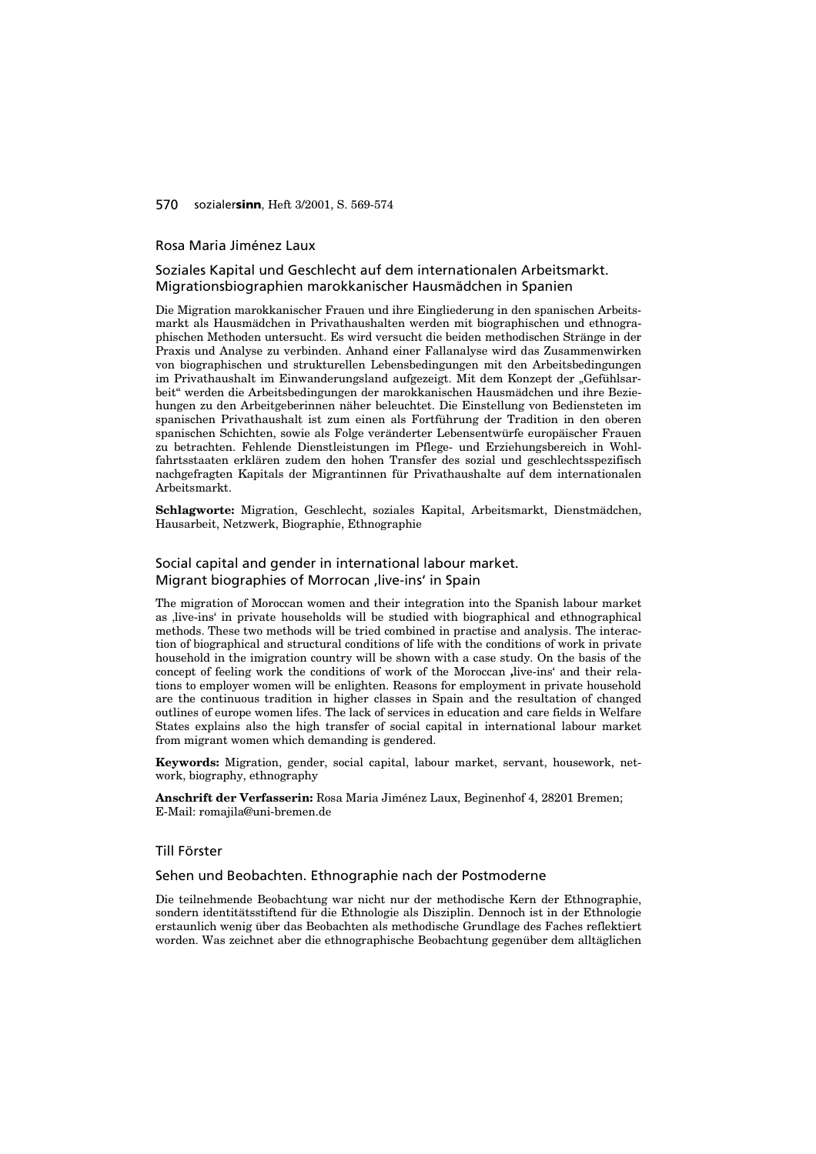#### 570 sozialer**sinn**, Heft 3/2001, S. 569-574

#### Rosa Maria Jiménez Laux

## Soziales Kapital und Geschlecht auf dem internationalen Arbeitsmarkt. Migrationsbiographien marokkanischer Hausmädchen in Spanien

Die Migration marokkanischer Frauen und ihre Eingliederung in den spanischen Arbeitsmarkt als Hausmädchen in Privathaushalten werden mit biographischen und ethnographischen Methoden untersucht. Es wird versucht die beiden methodischen Stränge in der Praxis und Analyse zu verbinden. Anhand einer Fallanalyse wird das Zusammenwirken von biographischen und strukturellen Lebensbedingungen mit den Arbeitsbedingungen im Privathaushalt im Einwanderungsland aufgezeigt. Mit dem Konzept der "Gefühlsarbeit" werden die Arbeitsbedingungen der marokkanischen Hausmädchen und ihre Beziehungen zu den Arbeitgeberinnen näher beleuchtet. Die Einstellung von Bediensteten im spanischen Privathaushalt ist zum einen als Fortführung der Tradition in den oberen spanischen Schichten, sowie als Folge veränderter Lebensentwürfe europäischer Frauen zu betrachten. Fehlende Dienstleistungen im Pflege- und Erziehungsbereich in Wohlfahrtsstaaten erklären zudem den hohen Transfer des sozial und geschlechtsspezifisch nachgefragten Kapitals der Migrantinnen für Privathaushalte auf dem internationalen Arbeitsmarkt.

**Schlagworte:** Migration, Geschlecht, soziales Kapital, Arbeitsmarkt, Dienstmädchen, Hausarbeit, Netzwerk, Biographie, Ethnographie

## Social capital and gender in international labour market. Migrant biographies of Morrocan , live-ins' in Spain

The migration of Moroccan women and their integration into the Spanish labour market as , live-ins' in private households will be studied with biographical and ethnographical methods. These two methods will be tried combined in practise and analysis. The interaction of biographical and structural conditions of life with the conditions of work in private household in the imigration country will be shown with a case study. On the basis of the concept of feeling work the conditions of work of the Moroccan live-ins' and their relations to employer women will be enlighten. Reasons for employment in private household are the continuous tradition in higher classes in Spain and the resultation of changed outlines of europe women lifes. The lack of services in education and care fields in Welfare States explains also the high transfer of social capital in international labour market from migrant women which demanding is gendered.

**Keywords:** Migration, gender, social capital, labour market, servant, housework, network, biography, ethnography

**Anschrift der Verfasserin:** Rosa Maria Jiménez Laux, Beginenhof 4, 28201 Bremen; E-Mail: romajila@uni-bremen.de

## Till Förster

#### Sehen und Beobachten. Ethnographie nach der Postmoderne

Die teilnehmende Beobachtung war nicht nur der methodische Kern der Ethnographie, sondern identitätsstiftend für die Ethnologie als Disziplin. Dennoch ist in der Ethnologie erstaunlich wenig über das Beobachten als methodische Grundlage des Faches reflektiert worden. Was zeichnet aber die ethnographische Beobachtung gegenüber dem alltäglichen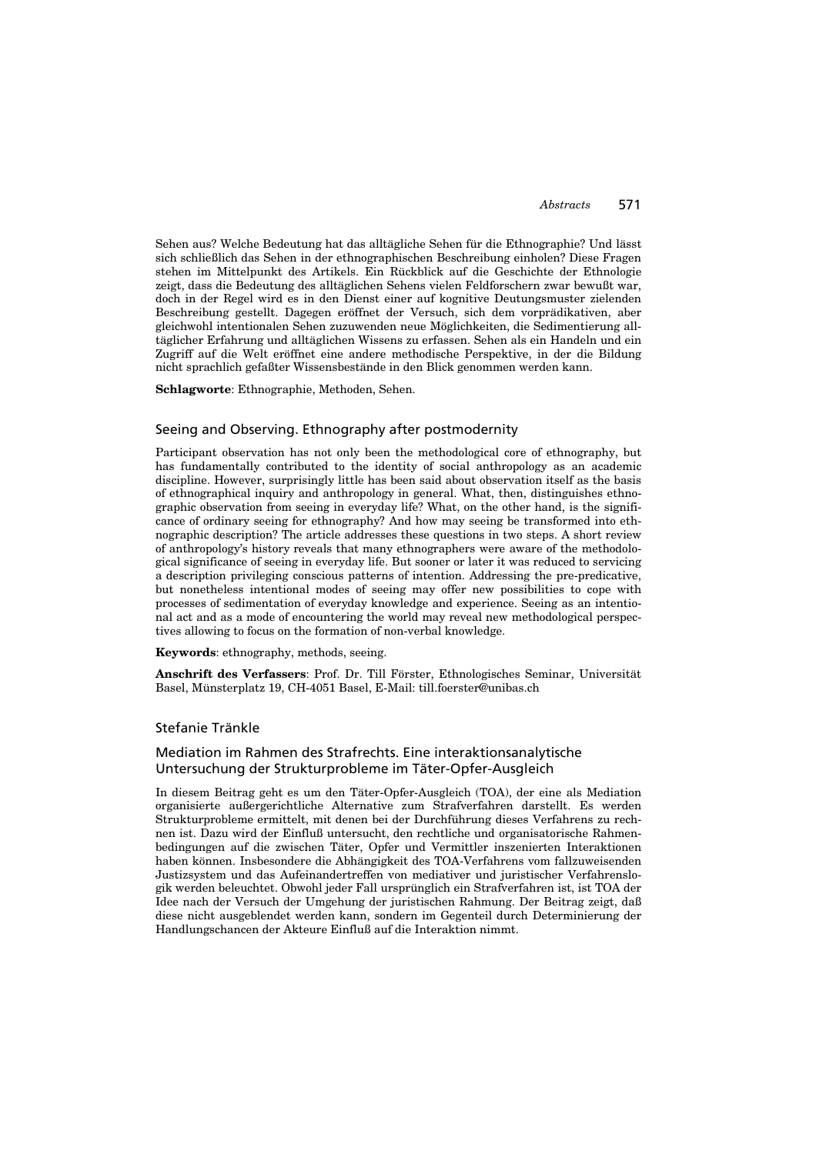Sehen aus? Welche Bedeutung hat das alltägliche Sehen für die Ethnographie? Und lässt sich schließlich das Sehen in der ethnographischen Beschreibung einholen? Diese Fragen stehen im Mittelpunkt des Artikels. Ein Rückblick auf die Geschichte der Ethnologie zeigt, dass die Bedeutung des alltäglichen Sehens vielen Feldforschern zwar bewußt war, doch in der Regel wird es in den Dienst einer auf kognitive Deutungsmuster zielenden Beschreibung gestellt. Dagegen eröffnet der Versuch, sich dem vorprädikativen, aber gleichwohl intentionalen Sehen zuzuwenden neue Möglichkeiten, die Sedimentierung alltäglicher Erfahrung und alltäglichen Wissens zu erfassen. Sehen als ein Handeln und ein Zugriff auf die Welt eröffnet eine andere methodische Perspektive, in der die Bildung nicht sprachlich gefaßter Wissensbestände in den Blick genommen werden kann.

**Schlagworte**: Ethnographie, Methoden, Sehen.

## Seeing and Observing. Ethnography after postmodernity

Participant observation has not only been the methodological core of ethnography, but has fundamentally contributed to the identity of social anthropology as an academic discipline. However, surprisingly little has been said about observation itself as the basis of ethnographical inquiry and anthropology in general. What, then, distinguishes ethnographic observation from seeing in everyday life? What, on the other hand, is the significance of ordinary seeing for ethnography? And how may seeing be transformed into ethnographic description? The article addresses these questions in two steps. A short review of anthropology's history reveals that many ethnographers were aware of the methodological significance of seeing in everyday life. But sooner or later it was reduced to servicing a description privileging conscious patterns of intention. Addressing the pre-predicative, but nonetheless intentional modes of seeing may offer new possibilities to cope with processes of sedimentation of everyday knowledge and experience. Seeing as an intentional act and as a mode of encountering the world may reveal new methodological perspectives allowing to focus on the formation of non-verbal knowledge.

**Keywords**: ethnography, methods, seeing.

**Anschrift des Verfassers**: Prof. Dr. Till Förster, Ethnologisches Seminar, Universität Basel, Münsterplatz 19, CH-4051 Basel, E-Mail: till.foerster@unibas.ch

#### Stefanie Tränkle

## Mediation im Rahmen des Strafrechts. Eine interaktionsanalytische Untersuchung der Strukturprobleme im Täter-Opfer-Ausgleich

In diesem Beitrag geht es um den Täter-Opfer-Ausgleich (TOA), der eine als Mediation organisierte außergerichtliche Alternative zum Strafverfahren darstellt. Es werden Strukturprobleme ermittelt, mit denen bei der Durchführung dieses Verfahrens zu rechnen ist. Dazu wird der Einfluß untersucht, den rechtliche und organisatorische Rahmenbedingungen auf die zwischen Täter, Opfer und Vermittler inszenierten Interaktionen haben können. Insbesondere die Abhängigkeit des TOA-Verfahrens vom fallzuweisenden Justizsystem und das Aufeinandertreffen von mediativer und juristischer Verfahrenslogik werden beleuchtet. Obwohl jeder Fall ursprünglich ein Strafverfahren ist, ist TOA der Idee nach der Versuch der Umgehung der juristischen Rahmung. Der Beitrag zeigt, daß diese nicht ausgeblendet werden kann, sondern im Gegenteil durch Determinierung der Handlungschancen der Akteure Einfluß auf die Interaktion nimmt.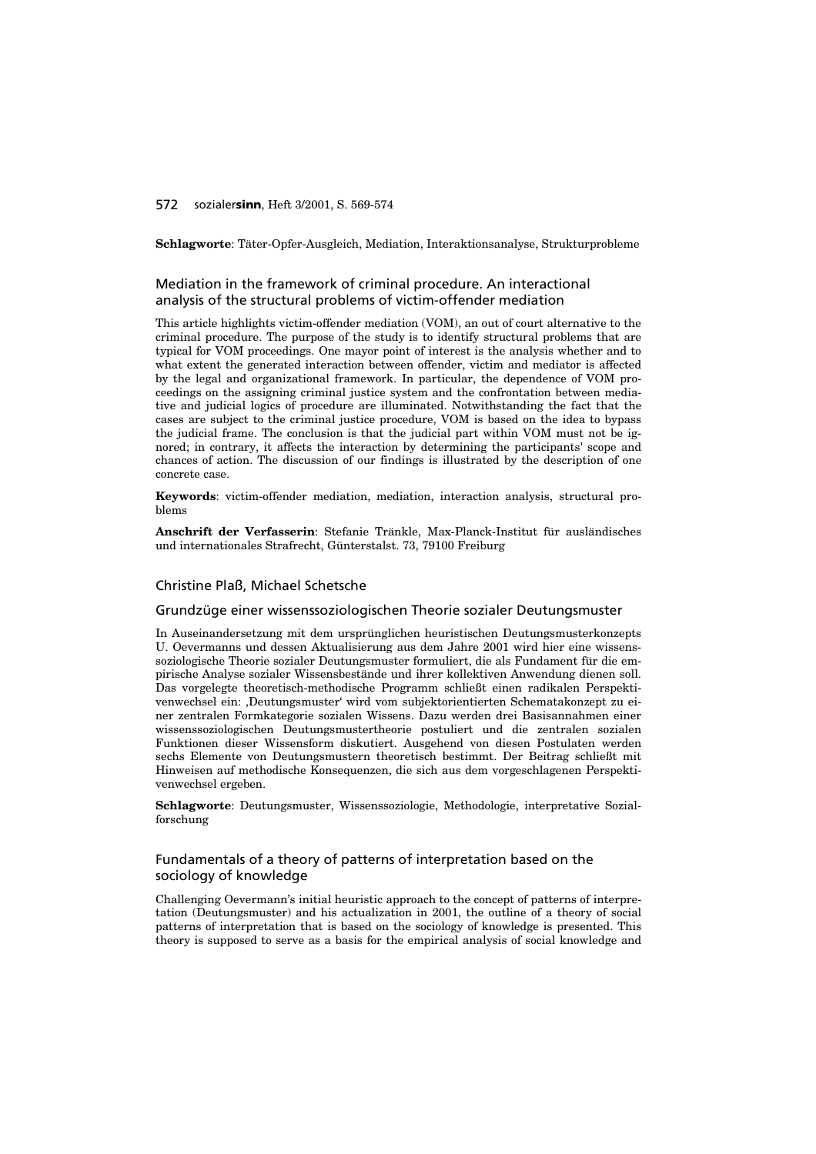#### 572 sozialer**sinn**, Heft 3/2001, S. 569-574

**Schlagworte**: Täter-Opfer-Ausgleich, Mediation, Interaktionsanalyse, Strukturprobleme

## Mediation in the framework of criminal procedure. An interactional analysis of the structural problems of victim-offender mediation

This article highlights victim-offender mediation (VOM), an out of court alternative to the criminal procedure. The purpose of the study is to identify structural problems that are typical for VOM proceedings. One mayor point of interest is the analysis whether and to what extent the generated interaction between offender, victim and mediator is affected by the legal and organizational framework. In particular, the dependence of VOM proceedings on the assigning criminal justice system and the confrontation between mediative and judicial logics of procedure are illuminated. Notwithstanding the fact that the cases are subject to the criminal justice procedure, VOM is based on the idea to bypass the judicial frame. The conclusion is that the judicial part within VOM must not be ignored; in contrary, it affects the interaction by determining the participants' scope and chances of action. The discussion of our findings is illustrated by the description of one concrete case.

**Keywords**: victim-offender mediation, mediation, interaction analysis, structural problems

**Anschrift der Verfasserin**: Stefanie Tränkle, Max-Planck-Institut für ausländisches und internationales Strafrecht, Günterstalst. 73, 79100 Freiburg

### Christine Plaß, Michael Schetsche

#### Grundzüge einer wissenssoziologischen Theorie sozialer Deutungsmuster

In Auseinandersetzung mit dem ursprünglichen heuristischen Deutungsmusterkonzepts U. Oevermanns und dessen Aktualisierung aus dem Jahre 2001 wird hier eine wissenssoziologische Theorie sozialer Deutungsmuster formuliert, die als Fundament für die empirische Analyse sozialer Wissensbestände und ihrer kollektiven Anwendung dienen soll. Das vorgelegte theoretisch-methodische Programm schließt einen radikalen Perspektivenwechsel ein: ,Deutungsmuster' wird vom subjektorientierten Schematakonzept zu einer zentralen Formkategorie sozialen Wissens. Dazu werden drei Basisannahmen einer wissenssoziologischen Deutungsmustertheorie postuliert und die zentralen sozialen Funktionen dieser Wissensform diskutiert. Ausgehend von diesen Postulaten werden sechs Elemente von Deutungsmustern theoretisch bestimmt. Der Beitrag schließt mit Hinweisen auf methodische Konsequenzen, die sich aus dem vorgeschlagenen Perspektivenwechsel ergeben.

**Schlagworte**: Deutungsmuster, Wissenssoziologie, Methodologie, interpretative Sozialforschung

## Fundamentals of a theory of patterns of interpretation based on the sociology of knowledge

Challenging Oevermann's initial heuristic approach to the concept of patterns of interpretation (Deutungsmuster) and his actualization in 2001, the outline of a theory of social patterns of interpretation that is based on the sociology of knowledge is presented. This theory is supposed to serve as a basis for the empirical analysis of social knowledge and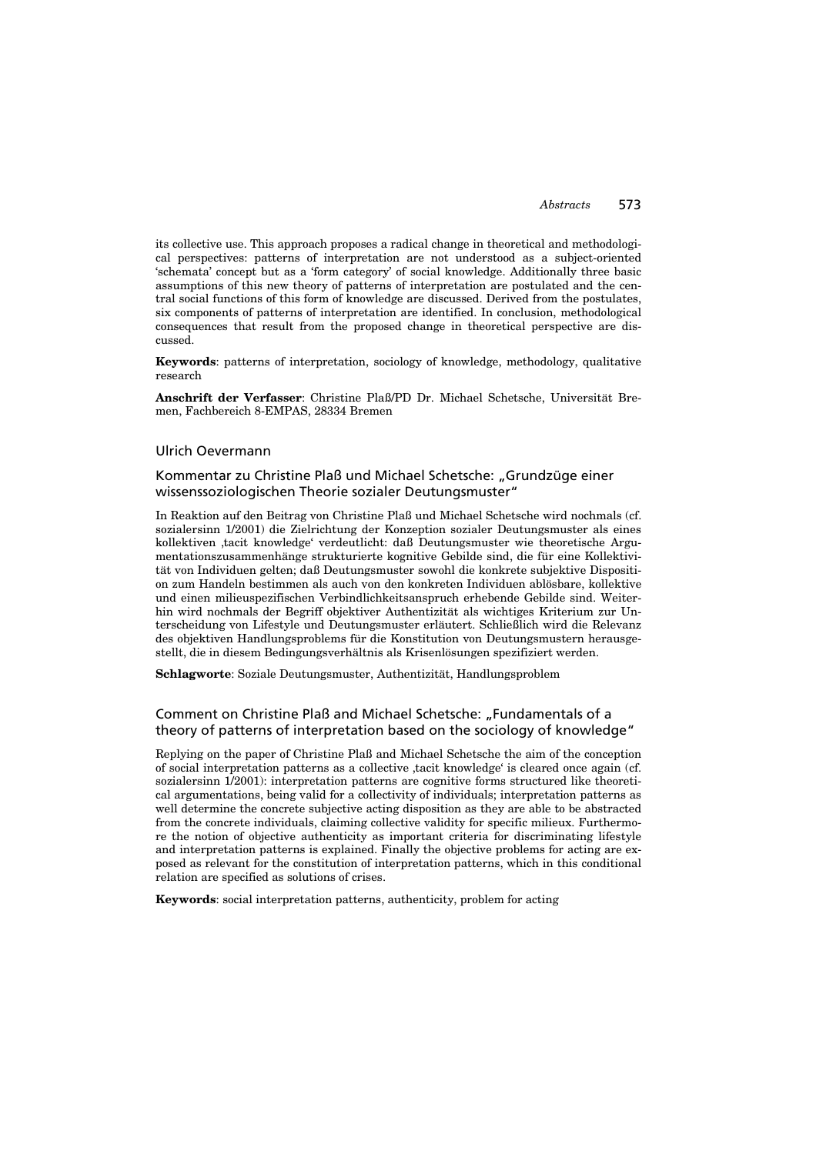its collective use. This approach proposes a radical change in theoretical and methodological perspectives: patterns of interpretation are not understood as a subject-oriented 'schemata' concept but as a 'form category' of social knowledge. Additionally three basic assumptions of this new theory of patterns of interpretation are postulated and the central social functions of this form of knowledge are discussed. Derived from the postulates, six components of patterns of interpretation are identified. In conclusion, methodological consequences that result from the proposed change in theoretical perspective are discussed.

**Keywords**: patterns of interpretation, sociology of knowledge, methodology, qualitative research

**Anschrift der Verfasser**: Christine Plaß/PD Dr. Michael Schetsche, Universität Bremen, Fachbereich 8-EMPAS, 28334 Bremen

### Ulrich Oevermann

## Kommentar zu Christine Plaß und Michael Schetsche: "Grundzüge einer wissenssoziologischen Theorie sozialer Deutungsmuster"

In Reaktion auf den Beitrag von Christine Plaß und Michael Schetsche wird nochmals (cf. sozialersinn 1/2001) die Zielrichtung der Konzeption sozialer Deutungsmuster als eines kollektiven 'tacit knowledge' verdeutlicht: daß Deutungsmuster wie theoretische Argumentationszusammenhänge strukturierte kognitive Gebilde sind, die für eine Kollektivität von Individuen gelten; daß Deutungsmuster sowohl die konkrete subjektive Disposition zum Handeln bestimmen als auch von den konkreten Individuen ablösbare, kollektive und einen milieuspezifischen Verbindlichkeitsanspruch erhebende Gebilde sind. Weiterhin wird nochmals der Begriff objektiver Authentizität als wichtiges Kriterium zur Unterscheidung von Lifestyle und Deutungsmuster erläutert. Schließlich wird die Relevanz des objektiven Handlungsproblems für die Konstitution von Deutungsmustern herausgestellt, die in diesem Bedingungsverhältnis als Krisenlösungen spezifiziert werden.

**Schlagworte**: Soziale Deutungsmuster, Authentizität, Handlungsproblem

## Comment on Christine Plaß and Michael Schetsche: "Fundamentals of a theory of patterns of interpretation based on the sociology of knowledge"

Replying on the paper of Christine Plaß and Michael Schetsche the aim of the conception of social interpretation patterns as a collective tacit knowledge' is cleared once again (cf. sozialersinn 1/2001): interpretation patterns are cognitive forms structured like theoretical argumentations, being valid for a collectivity of individuals; interpretation patterns as well determine the concrete subjective acting disposition as they are able to be abstracted from the concrete individuals, claiming collective validity for specific milieux. Furthermore the notion of objective authenticity as important criteria for discriminating lifestyle and interpretation patterns is explained. Finally the objective problems for acting are exposed as relevant for the constitution of interpretation patterns, which in this conditional relation are specified as solutions of crises.

**Keywords**: social interpretation patterns, authenticity, problem for acting